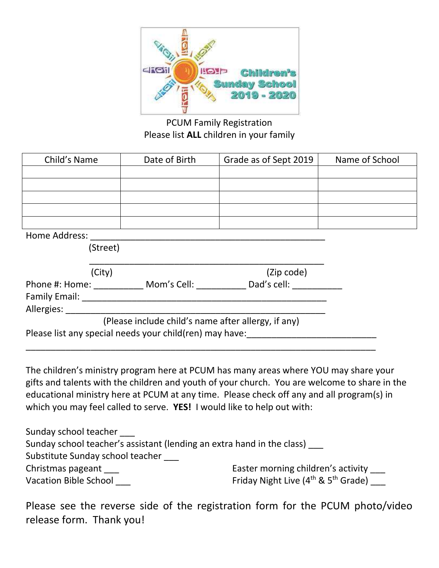

PCUM Family Registration Please list **ALL** children in your family

| Child's Name   |          | Date of Birth | Grade as of Sept 2019 | Name of School |  |
|----------------|----------|---------------|-----------------------|----------------|--|
|                |          |               |                       |                |  |
|                |          |               |                       |                |  |
|                |          |               |                       |                |  |
|                |          |               |                       |                |  |
|                |          |               |                       |                |  |
| Home Address:  |          |               |                       |                |  |
|                | (Street) |               |                       |                |  |
|                |          |               |                       |                |  |
|                | (City)   |               | (Zip code)            |                |  |
| Phone #: Home: |          | Mom's Cell:   | Dad's cell:           |                |  |

| <b>Family Email:</b> |                                                         |                                                     |  |
|----------------------|---------------------------------------------------------|-----------------------------------------------------|--|
| Allergies:           |                                                         |                                                     |  |
|                      |                                                         | (Please include child's name after allergy, if any) |  |
|                      | Please list any special needs your child(ren) may have: |                                                     |  |
|                      |                                                         |                                                     |  |

The children's ministry program here at PCUM has many areas where YOU may share your gifts and talents with the children and youth of your church. You are welcome to share in the educational ministry here at PCUM at any time. Please check off any and all program(s) in which you may feel called to serve. **YES!** I would like to help out with:

| Sunday school teacher                                                  |                                                             |
|------------------------------------------------------------------------|-------------------------------------------------------------|
| Sunday school teacher's assistant (lending an extra hand in the class) |                                                             |
| Substitute Sunday school teacher                                       |                                                             |
| Christmas pageant                                                      | Easter morning children's activity                          |
| <b>Vacation Bible School</b>                                           | Friday Night Live (4 <sup>th</sup> & 5 <sup>th</sup> Grade) |

Please see the reverse side of the registration form for the PCUM photo/video release form. Thank you!